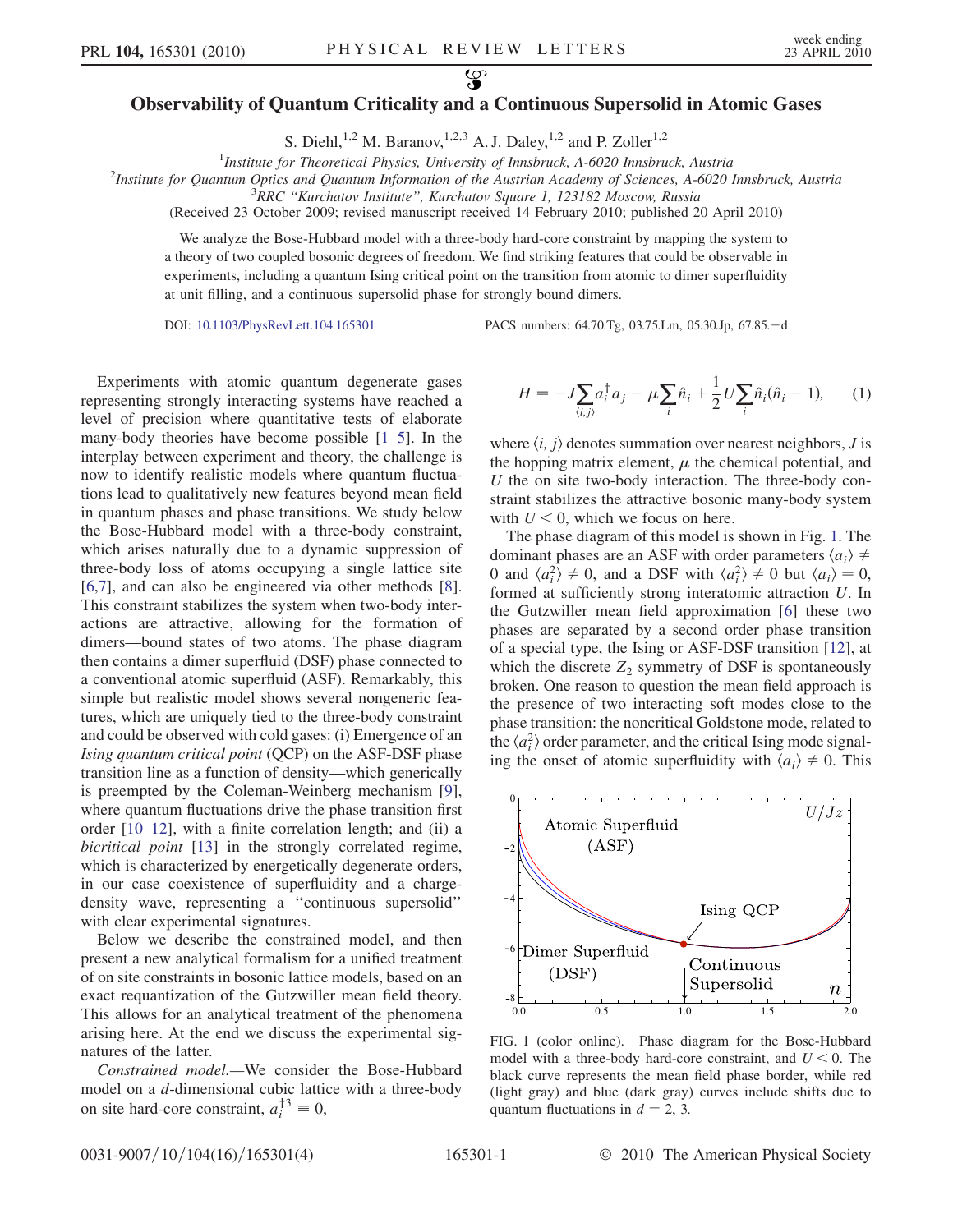## $\mathcal{L}$ Observability of Quantum Criticality and a Continuous Supersolid in Atomic Gases

S. Diehl,<sup>1,2</sup> M. Baranov,<sup>1,2,3</sup> A. J. Daley,<sup>1,2</sup> and P. Zoller<sup>1,2</sup>

<sup>1</sup>Institute for Theoretical Physics, University of Innsbruck, A-6020 Innsbruck, Austria<sup>1</sup><br><sup>2</sup>Institute for Quantum Optics and Quantum Information of the Austrian Academy of Sciences, A-6020

<sup>2</sup>Institute for Quantum Optics and Quantum Information of the Austrian Academy of Sciences, A-6020 Innsbruck, Austria

 $R^3$ RRC "Kurchatov Institute", Kurchatov Square 1, 123182 Moscow, Russia

(Received 23 October 2009; revised manuscript received 14 February 2010; published 20 April 2010)

We analyze the Bose-Hubbard model with a three-body hard-core constraint by mapping the system to a theory of two coupled bosonic degrees of freedom. We find striking features that could be observable in experiments, including a quantum Ising critical point on the transition from atomic to dimer superfluidity at unit filling, and a continuous supersolid phase for strongly bound dimers.

DOI: [10.1103/PhysRevLett.104.165301](http://dx.doi.org/10.1103/PhysRevLett.104.165301) PACS numbers: 64.70.Tg, 03.75.Lm, 05.30.Jp, 67.85.d

Experiments with atomic quantum degenerate gases representing strongly interacting systems have reached a level of precision where quantitative tests of elaborate many-body theories have become possible [[1](#page-3-0)[–5\]](#page-3-1). In the interplay between experiment and theory, the challenge is now to identify realistic models where quantum fluctuations lead to qualitatively new features beyond mean field in quantum phases and phase transitions. We study below the Bose-Hubbard model with a three-body constraint, which arises naturally due to a dynamic suppression of three-body loss of atoms occupying a single lattice site [\[6,](#page-3-2)[7](#page-3-3)], and can also be engineered via other methods [[8\]](#page-3-4). This constraint stabilizes the system when two-body interactions are attractive, allowing for the formation of dimers—bound states of two atoms. The phase diagram then contains a dimer superfluid (DSF) phase connected to a conventional atomic superfluid (ASF). Remarkably, this simple but realistic model shows several nongeneric features, which are uniquely tied to the three-body constraint and could be observed with cold gases: (i) Emergence of an Ising quantum critical point (QCP) on the ASF-DSF phase transition line as a function of density—which generically is preempted by the Coleman-Weinberg mechanism [[9\]](#page-3-5), where quantum fluctuations drive the phase transition first order [\[10](#page-3-6)[–12\]](#page-3-7), with a finite correlation length; and (ii) a bicritical point [[13\]](#page-3-8) in the strongly correlated regime, which is characterized by energetically degenerate orders, in our case coexistence of superfluidity and a chargedensity wave, representing a ''continuous supersolid'' with clear experimental signatures.

Below we describe the constrained model, and then present a new analytical formalism for a unified treatment of on site constraints in bosonic lattice models, based on an exact requantization of the Gutzwiller mean field theory. This allows for an analytical treatment of the phenomena arising here. At the end we discuss the experimental signatures of the latter.

Constrained model.—We consider the Bose-Hubbard model on a d-dimensional cubic lattice with a three-body on site hard-core constraint,  $a_i^{\dagger 3} \equiv 0$ ,

<span id="page-0-1"></span>
$$
H = -J\sum_{\langle i,j\rangle} a_i^{\dagger} a_j - \mu \sum_i \hat{n}_i + \frac{1}{2} U \sum_i \hat{n}_i (\hat{n}_i - 1), \qquad (1)
$$

where  $\langle i, j \rangle$  denotes summation over nearest neighbors, J is the hopping matrix element,  $\mu$  the chemical potential, and U the on site two-body interaction. The three-body constraint stabilizes the attractive bosonic many-body system with  $U \leq 0$ , which we focus on here.

The phase diagram of this model is shown in Fig. [1.](#page-0-0) The dominant phases are an ASF with order parameters  $\langle a_i \rangle \neq$ 0 and  $\langle a_i^2 \rangle \neq 0$ , and a DSF with  $\langle a_i^2 \rangle \neq 0$  but  $\langle a_i \rangle = 0$ , formed at sufficiently strong interatomic attraction U. In the Gutzwiller mean field approximation [[6](#page-3-2)] these two phases are separated by a second order phase transition of a special type, the Ising or ASF-DSF transition [[12](#page-3-7)], at which the discrete  $Z_2$  symmetry of DSF is spontaneously broken. One reason to question the mean field approach is the presence of two interacting soft modes close to the phase transition: the noncritical Goldstone mode, related to the  $\langle a_i^2 \rangle$  order parameter, and the critical Ising mode signaling the onset of atomic superfluidity with  $\langle a_i \rangle \neq 0$ . This

<span id="page-0-0"></span>

FIG. 1 (color online). Phase diagram for the Bose-Hubbard model with a three-body hard-core constraint, and  $U \le 0$ . The black curve represents the mean field phase border, while red (light gray) and blue (dark gray) curves include shifts due to quantum fluctuations in  $d = 2$ , 3.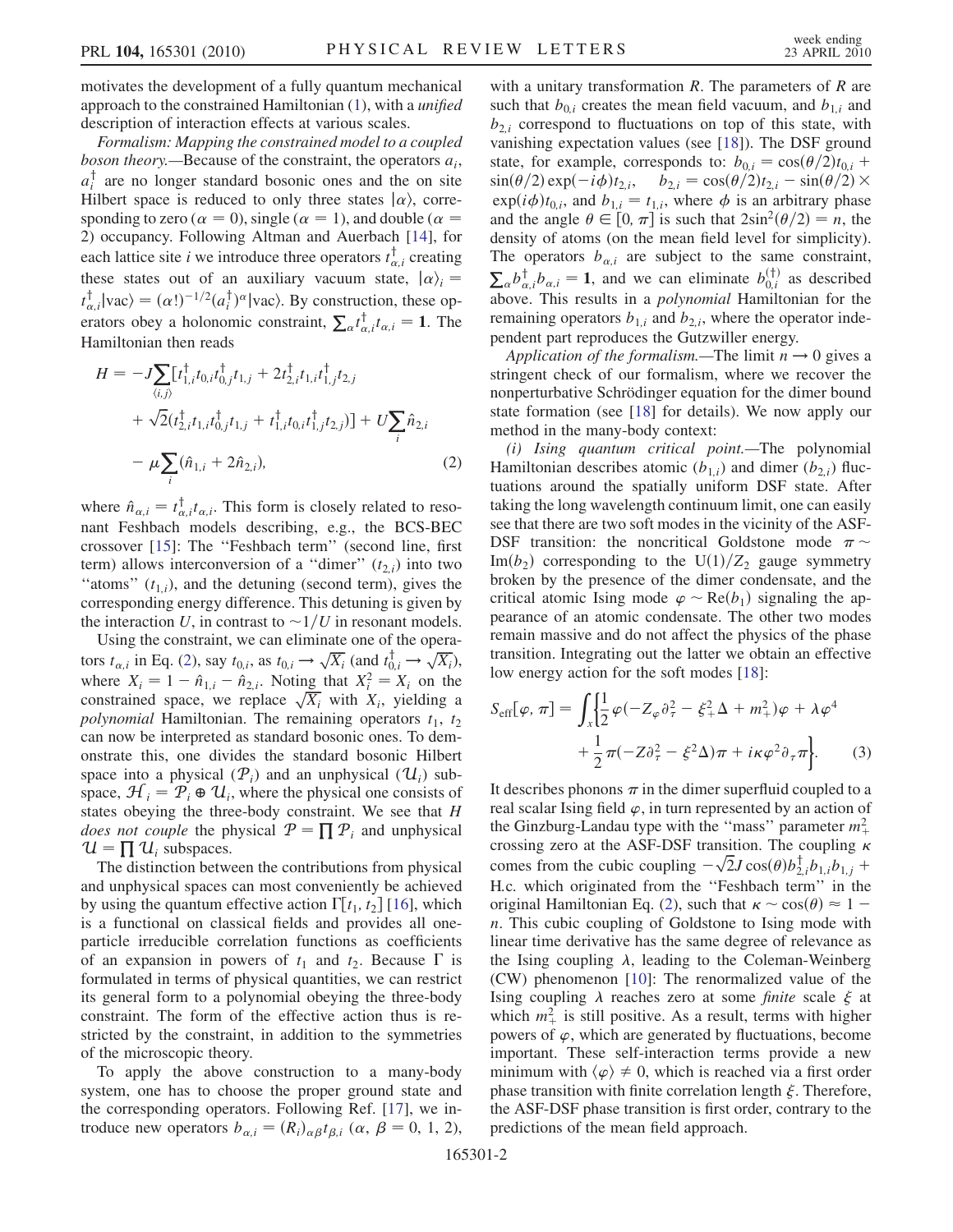motivates the development of a fully quantum mechanical approach to the constrained Hamiltonian [\(1](#page-0-1)), with a unified description of interaction effects at various scales.

Formalism: Mapping the constrained model to a coupled *boson theory.*—Because of the constraint, the operators  $a_i$ ,  $a_i^{\dagger}$  are no longer standard bosonic ones and the on site Hilbert space is reduced to only three states  $|\alpha\rangle$ , corresponding to zero ( $\alpha = 0$ ), single ( $\alpha = 1$ ), and double ( $\alpha =$ 2) occupancy. Following Altman and Auerbach [\[14\]](#page-3-9), for each lattice site *i* we introduce three operators  $t_{\alpha,i}^{\dagger}$  creating these states out of an auxiliary vacuum state,  $|\alpha\rangle_i =$  $t_{\alpha,i}^{\dagger} | \text{vac} \rangle = (\alpha!)^{-1/2} (a_i^{\dagger})^{\alpha} | \text{vac} \rangle$ . By construction, these operators obey a holonomic constraint,  $\sum_{\alpha} t_{\alpha,i}^{\dagger} t_{\alpha,i} = 1$ . The Hamiltonian then reads

<span id="page-1-0"></span>
$$
H = -J\sum_{\langle i,j\rangle} [t_{1,i}^{\dagger}t_{0,i}t_{0,j}^{\dagger}t_{1,j} + 2t_{2,i}^{\dagger}t_{1,i}t_{1,j}^{\dagger}t_{2,j} + \sqrt{2}(t_{2,i}^{\dagger}t_{1,i}t_{0,j}^{\dagger}t_{1,j} + t_{1,i}^{\dagger}t_{0,i}t_{1,j}^{\dagger}t_{2,j})] + U\sum_{i}\hat{n}_{2,i}
$$
  

$$
-\mu\sum_{i}(\hat{n}_{1,i} + 2\hat{n}_{2,i}),
$$
 (2)

where  $\hat{n}_{\alpha,i} = t_{\alpha,i}^{\dagger} t_{\alpha,i}$ . This form is closely related to resonant Feshbach models describing, e.g., the BCS-BEC crossover [[15](#page-3-10)]: The ''Feshbach term'' (second line, first term) allows interconversion of a "dimer"  $(t_{2,i})$  into two "atoms"  $(t_{1,i})$ , and the detuning (second term), gives the corresponding energy difference. This detuning is given by the interaction U, in contrast to  $\sim 1/U$  in resonant models.

Using the constraint, we can eliminate one of the operators  $t_{\alpha,i}$  in Eq. ([2](#page-1-0)), say  $t_{0,i}$ , as  $t_{0,i} \rightarrow \sqrt{X_i}$  (and  $t_{0,i}^{\dagger} \rightarrow \sqrt{X_i}$ ), where  $X_i = 1 - \hat{n}_{1,i} - \hat{n}_{2,i}$ . Noting that  $X_i^2 = X_i$  on the constrained space, we replace  $\sqrt{X_i}$  with  $X_i$ , yielding a polynomial Hamiltonian. The remaining operators  $t_1$ ,  $t_2$ can now be interpreted as standard bosonic ones. To demonstrate this, one divides the standard bosonic Hilbert space into a physical  $(\mathcal{P}_i)$  and an unphysical  $(\mathcal{U}_i)$  subspace,  $\mathcal{H}_i = \mathcal{P}_i \oplus \mathcal{U}_i$ , where the physical one consists of states obeying the three-body constraint. We see that H *does not couple* the physical  $P = \prod P_i$  and unphysical  $\mathcal{U} = \prod \mathcal{U}_i$  subspaces.

The distinction between the contributions from physical and unphysical spaces can most conveniently be achieved by using the quantum effective action  $\Gamma[t_1, t_2]$  [\[16\]](#page-3-11), which is a functional on classical fields and provides all oneparticle irreducible correlation functions as coefficients of an expansion in powers of  $t_1$  and  $t_2$ . Because  $\Gamma$  is formulated in terms of physical quantities, we can restrict its general form to a polynomial obeying the three-body constraint. The form of the effective action thus is restricted by the constraint, in addition to the symmetries of the microscopic theory.

To apply the above construction to a many-body system, one has to choose the proper ground state and the corresponding operators. Following Ref. [\[17\]](#page-3-12), we introduce new operators  $b_{\alpha,i} = (R_i)_{\alpha\beta} t_{\beta,i}$   $(\alpha, \beta = 0, 1, 2)$ , with a unitary transformation  $R$ . The parameters of  $R$  are such that  $b_{0,i}$  creates the mean field vacuum, and  $b_{1,i}$  and  $b_{2,i}$  correspond to fluctuations on top of this state, with vanishing expectation values (see [\[18\]](#page-3-13)). The DSF ground state, for example, corresponds to:  $b_{0,i} = \cos(\theta/2)t_{0,i}$  +  $\sin(\theta/2)\exp(-i\phi)t_{2,i}, \quad b_{2,i} = \cos(\theta/2)t_{2,i} - \sin(\theta/2) \times$  $\exp(i\phi)t_{0,i}$ , and  $b_{1,i} = t_{1,i}$ , where  $\phi$  is an arbitrary phase and the angle  $\theta \in [0, \pi]$  is such that  $2\sin^2(\theta/2) = n$ , the density of atoms (on the mean field level for simplicity). The operators  $b_{\alpha,i}$  are subject to the same constraint,  $\sum_{\alpha} b^{\dagger}_{\alpha,i} b^{\dagger}_{\alpha,i} = 1$ , and we can eliminate  $b^{(\dagger)}_{0,i}$  as described above. This results in a polynomial Hamiltonian for the remaining operators  $b_{1,i}$  and  $b_{2,i}$ , where the operator independent part reproduces the Gutzwiller energy.

Application of the formalism.—The limit  $n \rightarrow 0$  gives a stringent check of our formalism, where we recover the nonperturbative Schrödinger equation for the dimer bound state formation (see [[18](#page-3-13)] for details). We now apply our method in the many-body context:

(i) Ising quantum critical point.—The polynomial Hamiltonian describes atomic  $(b_{1,i})$  and dimer  $(b_{2,i})$  fluctuations around the spatially uniform DSF state. After taking the long wavelength continuum limit, one can easily see that there are two soft modes in the vicinity of the ASF-DSF transition: the noncritical Goldstone mode  $\pi \sim$ Im $(b_2)$  corresponding to the U(1)/Z<sub>2</sub> gauge symmetry broken by the presence of the dimer condensate, and the critical atomic Ising mode  $\varphi \sim \text{Re}(b_1)$  signaling the appearance of an atomic condensate. The other two modes remain massive and do not affect the physics of the phase transition. Integrating out the latter we obtain an effective low energy action for the soft modes [\[18\]](#page-3-13):

$$
S_{\text{eff}}[\varphi, \pi] = \int_{x} \left\{ \frac{1}{2} \varphi \left( -Z_{\varphi} \partial_{\tau}^{2} - \xi_{+}^{2} \Delta + m_{+}^{2} \right) \varphi + \lambda \varphi^{4} \right. \\ \left. + \frac{1}{2} \pi \left( -Z \partial_{\tau}^{2} - \xi^{2} \Delta \right) \pi + i \kappa \varphi^{2} \partial_{\tau} \pi \right\}.
$$
 (3)

It describes phonons  $\pi$  in the dimer superfluid coupled to a real scalar Ising field  $\varphi$ , in turn represented by an action of the Ginzburg-Landau type with the "mass" parameter  $m_{+}^{2}$ crossing zero at the ASF-DSF transition. The coupling  $\kappa$ comes from the cubic coupling  $-\sqrt{2}J\cos(\theta)b_{2,i}^{\dagger}b_{1,i}b_{1,j}$  + H:c: which originated from the ''Feshbach term'' in the original Hamiltonian Eq. [\(2](#page-1-0)), such that  $\kappa \sim \cos(\theta) \approx 1$ n. This cubic coupling of Goldstone to Ising mode with linear time derivative has the same degree of relevance as the Ising coupling  $\lambda$ , leading to the Coleman-Weinberg (CW) phenomenon [\[10\]](#page-3-6): The renormalized value of the Ising coupling  $\lambda$  reaches zero at some *finite* scale  $\xi$  at which  $m^2_+$  is still positive. As a result, terms with higher powers of  $\varphi$ , which are generated by fluctuations, become important. These self-interaction terms provide a new minimum with  $\langle \varphi \rangle \neq 0$ , which is reached via a first order phase transition with finite correlation length  $\xi$ . Therefore, the ASF-DSF phase transition is first order, contrary to the predictions of the mean field approach.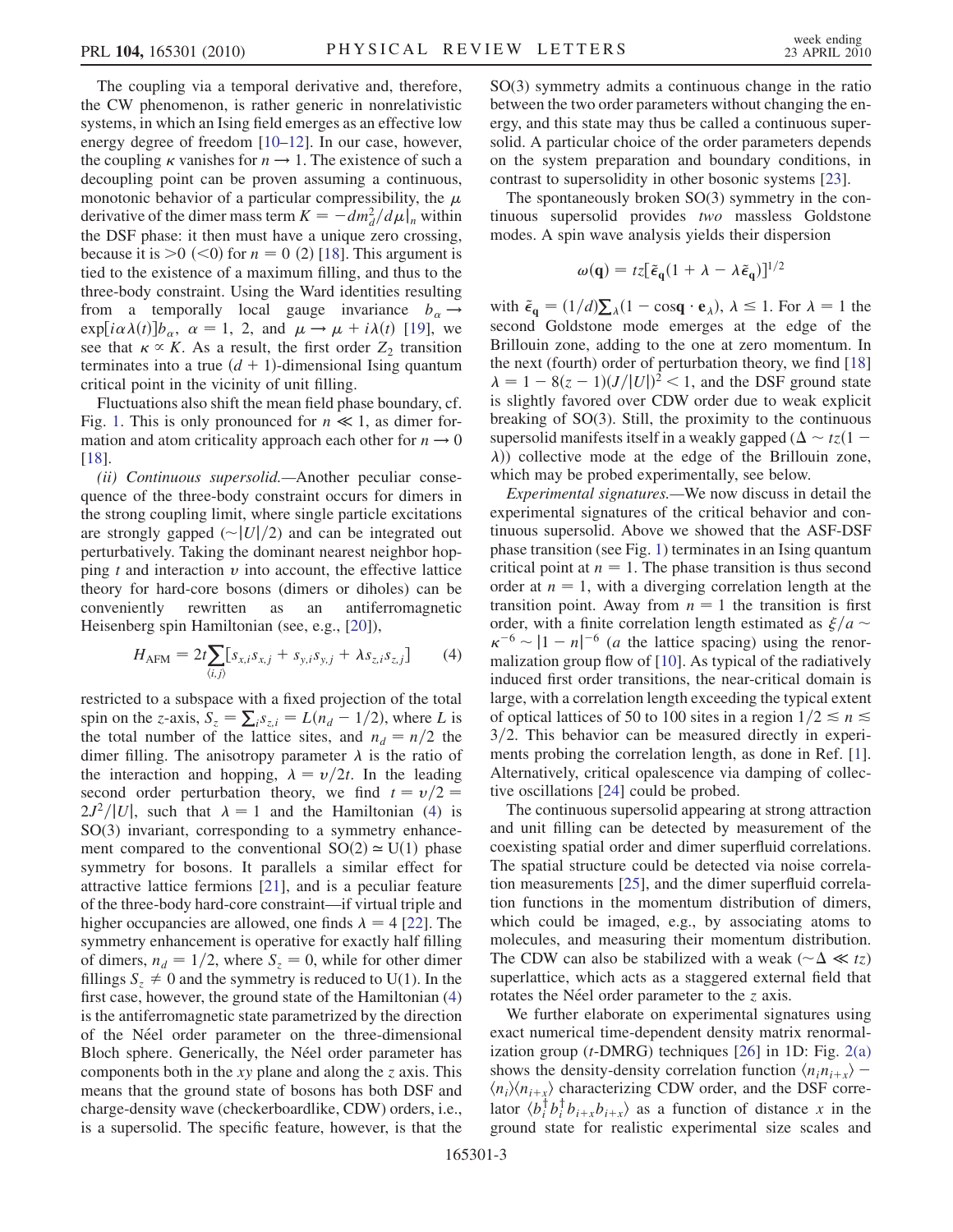The coupling via a temporal derivative and, therefore, the CW phenomenon, is rather generic in nonrelativistic systems, in which an Ising field emerges as an effective low energy degree of freedom [\[10](#page-3-6)[–12\]](#page-3-7). In our case, however, the coupling  $\kappa$  vanishes for  $n \to 1$ . The existence of such a decoupling point can be proven assuming a continuous, monotonic behavior of a particular compressibility, the  $\mu$ derivative of the dimer mass term  $K = -dm_d^2/d\mu|_n$  within the DSF phase: it then must have a unique zero crossing, because it is  $>0$  (<0) for  $n = 0$  (2) [[18](#page-3-13)]. This argument is tied to the existence of a maximum filling, and thus to the three-body constraint. Using the Ward identities resulting from a temporally local gauge invariance  $b_{\alpha} \rightarrow$  $\exp[i\alpha\lambda(t)]b_{\alpha}, \ \alpha = 1, 2, \text{ and } \mu \to \mu + i\lambda(t)$  [[19](#page-3-14)], we see that  $\kappa \propto K$ . As a result, the first order  $Z_2$  transition terminates into a true  $(d + 1)$ -dimensional Ising quantum critical point in the vicinity of unit filling.

Fluctuations also shift the mean field phase boundary, cf. Fig. [1](#page-0-0). This is only pronounced for  $n \ll 1$ , as dimer formation and atom criticality approach each other for  $n \rightarrow 0$ [\[18\]](#page-3-13).

(ii) Continuous supersolid.—Another peculiar consequence of the three-body constraint occurs for dimers in the strong coupling limit, where single particle excitations are strongly gapped  $\left(\frac{v}{2}\right)$  and can be integrated out perturbatively. Taking the dominant nearest neighbor hopping  $t$  and interaction  $v$  into account, the effective lattice theory for hard-core bosons (dimers or diholes) can be conveniently rewritten as an antiferromagnetic Heisenberg spin Hamiltonian (see, e.g., [\[20\]](#page-3-15)),

<span id="page-2-0"></span>
$$
H_{\text{AFM}} = 2t \sum_{\langle i,j \rangle} [s_{x,i} s_{x,j} + s_{y,i} s_{y,j} + \lambda s_{z,i} s_{z,j}] \tag{4}
$$

restricted to a subspace with a fixed projection of the total spin on the z-axis,  $S_z = \sum_i s_{z,i} = L(n_d - 1/2)$ , where L is the total number of the lattice sites, and  $n_d = n/2$  the dimer filling. The anisotropy parameter  $\lambda$  is the ratio of the interaction and hopping,  $\lambda = v/2t$ . In the leading second order perturbation theory, we find  $t = v/2$  $2J^2/|U|$ , such that  $\lambda = 1$  and the Hamiltonian [\(4\)](#page-2-0) is SO(3) invariant, corresponding to a symmetry enhancement compared to the conventional  $SO(2) \simeq U(1)$  phase symmetry for bosons. It parallels a similar effect for attractive lattice fermions [[21](#page-3-16)], and is a peculiar feature of the three-body hard-core constraint—if virtual triple and higher occupancies are allowed, one finds  $\lambda = 4$  [[22](#page-3-17)]. The symmetry enhancement is operative for exactly half filling of dimers,  $n_d = 1/2$ , where  $S_z = 0$ , while for other dimer fillings  $S_z \neq 0$  and the symmetry is reduced to U(1). In the first case, however, the ground state of the Hamiltonian [\(4\)](#page-2-0) is the antiferromagnetic state parametrized by the direction of the Néel order parameter on the three-dimensional Bloch sphere. Generically, the Néel order parameter has components both in the  $xy$  plane and along the z axis. This means that the ground state of bosons has both DSF and charge-density wave (checkerboardlike, CDW) orders, i.e., is a supersolid. The specific feature, however, is that the SO(3) symmetry admits a continuous change in the ratio between the two order parameters without changing the energy, and this state may thus be called a continuous supersolid. A particular choice of the order parameters depends on the system preparation and boundary conditions, in contrast to supersolidity in other bosonic systems [[23\]](#page-3-18).

The spontaneously broken SO(3) symmetry in the continuous supersolid provides two massless Goldstone modes. A spin wave analysis yields their dispersion

$$
\omega(\mathbf{q}) = t z [\tilde{\epsilon}_{\mathbf{q}} (1 + \lambda - \lambda \tilde{\epsilon}_{\mathbf{q}})]^{1/2}
$$

with  $\tilde{\epsilon}_{\mathbf{q}} = (1/d)\sum_{\lambda}(1 - \cos \mathbf{q} \cdot \mathbf{e}_{\lambda}), \lambda \leq 1$ . For  $\lambda = 1$  the second Goldstone mode emerges at the edge of the Brillouin zone, adding to the one at zero momentum. In the next (fourth) order of perturbation theory, we find [\[18\]](#page-3-13)  $\lambda = 1 - 8(z - 1)(J/|U|)^2 < 1$ , and the DSF ground state is slightly favored over CDW order due to weak explicit breaking of SO(3). Still, the proximity to the continuous supersolid manifests itself in a weakly gapped ( $\Delta \sim tz(1 \lambda$ ) collective mode at the edge of the Brillouin zone, which may be probed experimentally, see below.

Experimental signatures.—We now discuss in detail the experimental signatures of the critical behavior and continuous supersolid. Above we showed that the ASF-DSF phase transition (see Fig. [1\)](#page-0-0) terminates in an Ising quantum critical point at  $n = 1$ . The phase transition is thus second order at  $n = 1$ , with a diverging correlation length at the transition point. Away from  $n = 1$  the transition is first order, with a finite correlation length estimated as  $\xi/a \sim$  $\kappa^{-6} \sim |1 - n|^{-6}$  (*a* the lattice spacing) using the renormalization group flow of [\[10\]](#page-3-6). As typical of the radiatively induced first order transitions, the near-critical domain is large, with a correlation length exceeding the typical extent of optical lattices of 50 to 100 sites in a region  $1/2 \le n \le$  $3/2$ . This behavior can be measured directly in experiments probing the correlation length, as done in Ref. [[1\]](#page-3-0). Alternatively, critical opalescence via damping of collective oscillations [[24](#page-3-19)] could be probed.

The continuous supersolid appearing at strong attraction and unit filling can be detected by measurement of the coexisting spatial order and dimer superfluid correlations. The spatial structure could be detected via noise correlation measurements [\[25](#page-3-20)], and the dimer superfluid correlation functions in the momentum distribution of dimers, which could be imaged, e.g., by associating atoms to molecules, and measuring their momentum distribution. The CDW can also be stabilized with a weak ( $\sim \Delta \ll tz$ ) superlattice, which acts as a staggered external field that rotates the Néel order parameter to the  $\zeta$  axis.

We further elaborate on experimental signatures using exact numerical time-dependent density matrix renormalization group ( $t$ -DMRG) techniques [\[26\]](#page-3-21) in 1D: Fig. [2\(a\)](#page-3-22) shows the density-density correlation function  $\langle n_i n_{i+x} \rangle$  –  $\langle n_i \rangle \langle n_{i+x} \rangle$  characterizing CDW order, and the DSF correlator  $\langle b_i^{\dagger} b_i^{\dagger} b_{i+x} b_{i+x} \rangle$  as a function of distance x in the ground state for realistic experimental size scales and